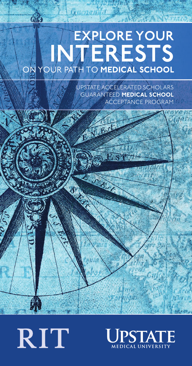## EXPLORE YOUR INTERESTS ON YOUR PATH TO **MEDICAL SCHOOL**

N Fuel

S

 $0.0000$ 

**Gift** 

UPSTATE ACCELERATED SCHOLARS GUARANTEED **MEDICAL SCHOOL**  ACCEPTANCE PROGRAM